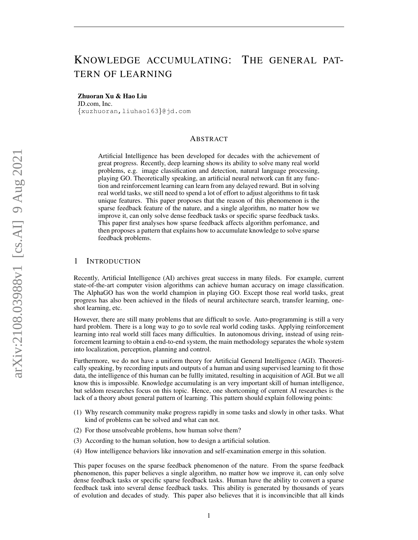# KNOWLEDGE ACCUMULATING: THE GENERAL PAT-TERN OF LEARNING

#### Zhuoran Xu & Hao Liu

JD.com, Inc. {xuzhuoran,liuhao163}@jd.com

# ABSTRACT

Artificial Intelligence has been developed for decades with the achievement of great progress. Recently, deep learning shows its ability to solve many real world problems, e.g. image classification and detection, natural language processing, playing GO. Theoretically speaking, an artificial neural network can fit any function and reinforcement learning can learn from any delayed reward. But in solving real world tasks, we still need to spend a lot of effort to adjust algorithms to fit task unique features. This paper proposes that the reason of this phenomenon is the sparse feedback feature of the nature, and a single algorithm, no matter how we improve it, can only solve dense feedback tasks or specific sparse feedback tasks. This paper first analyses how sparse feedback affects algorithm perfomance, and then proposes a pattern that explains how to accumulate knowledge to solve sparse feedback problems.

# 1 INTRODUCTION

Recently, Artificial Intelligence (AI) archives great success in many fileds. For example, current state-of-the-art computer vision algorithms can achieve human accuracy on image classification. The AlphaGO has won the world champion in playing GO. Except those real world tasks, great progress has also been achieved in the fileds of neural architecture search, transfer learning, oneshot learning, etc.

However, there are still many problems that are difficult to sovle. Auto-programming is still a very hard problem. There is a long way to go to sovle real world coding tasks. Applying reinforcement learning into real world still faces many difficulties. In autonomous driving, instead of using reinforcement learning to obtain a end-to-end system, the main methodology separates the whole system into localization, perception, planning and control.

Furthermore, we do not have a uniform theory for Artificial General Intelligence (AGI). Theoretically speaking, by recording inputs and outputs of a human and using supervised learning to fit those data, the intelligence of this human can be fullly imitated, resulting in acquisition of AGI. But we all know this is impossible. Knowledge accumulating is an very important skill of human intelligence, but seldom researches focus on this topic. Hence, one shortcoming of current AI researches is the lack of a theory about general pattern of learning. This pattern should explain following points:

- (1) Why research community make progress rapidly in some tasks and slowly in other tasks. What kind of problems can be solved and what can not.
- (2) For those unsolveable problems, how human solve them?
- (3) According to the human solution, how to design a artificial solution.
- (4) How intelligence behaviors like innovation and self-examination emerge in this solution.

This paper focuses on the sparse feedback phenomenon of the nature. From the sparse feedback phenomenon, this paper believes a single algorithm, no matter how we improve it, can only solve dense feedback tasks or specific sparse feedback tasks. Human have the ability to convert a sparse feedback task into several dense feedback tasks. This ability is generated by thousands of years of evolution and decades of study. This paper also believes that it is inconvincible that all kinds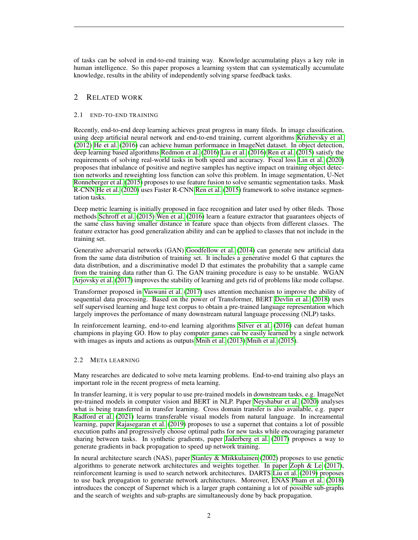of tasks can be solved in end-to-end training way. Knowledge accumulating plays a key role in human intelligence. So this paper proposes a learning system that can systematically accumulate knowledge, results in the ability of independently solving sparse feedback tasks.

# 2 RELATED WORK

# 2.1 END-TO-END TRAINING

Recently, end-to-end deep learning achieves great progress in many fileds. In image classification, using deep artificial neural network and end-to-end training, current algorithms [Krizhevsky et al.](#page-9-0) [\(2012\)](#page-9-0) [He et al.](#page-9-1) [\(2016\)](#page-9-1) can achieve human performance in ImageNet dataset. In object detection, deep learning based algorithms [Redmon et al.](#page-10-0) [\(2016\)](#page-10-0) [Liu et al.](#page-9-2) [\(2016\)](#page-9-2) [Ren et al.](#page-10-1) [\(2015\)](#page-10-1) satisfy the requirements of solving real-world tasks in both speed and accuracy. Focal loss [Lin et al.](#page-9-3) [\(2020\)](#page-9-3) proposes that inbalance of positive and negtive samples has negtive impact on training object detection networks and reweighting loss function can solve this problem. In image segmentation, U-Net [Ronneberger et al.](#page-10-2) [\(2015\)](#page-10-2) proposes to use feature fusion to solve semantic segmentation tasks. Mask R-CNN [He et al.](#page-9-4) [\(2020\)](#page-9-4) uses Faster R-CNN [Ren et al.](#page-10-1) [\(2015\)](#page-10-1) framework to solve instance segmentation tasks.

Deep metric learning is initially proposed in face recognition and later used by other fileds. Those methods [Schroff et al.](#page-10-3) [\(2015\)](#page-10-3) [Wen et al.](#page-11-0) [\(2016\)](#page-11-0) learn a feature extractor that guarantees objects of the same class having smaller distance in feature space than objects from different classes. The feature extractor has good generalization ability and can be applied to classes that not include in the training set.

Generative adversarial networks (GAN) [Goodfellow et al.](#page-9-5) [\(2014\)](#page-9-5) can generate new artificial data from the same data distribution of training set. It includes a generative model G that captures the data distribution, and a discriminative model D that estimates the probability that a sample came from the training data rather than G. The GAN training procedure is easy to be unstable. WGAN [Arjovsky et al.](#page-9-6) [\(2017\)](#page-9-6) improves the stability of learning and gets rid of problems like mode collapse.

Transformer proposed in [Vaswani et al.](#page-11-1) [\(2017\)](#page-11-1) uses attention mechanism to improve the ability of sequential data processing. Based on the power of Transformer, BERT [Devlin et al.](#page-9-7) [\(2018\)](#page-9-7) uses self supervised learning and huge text corpus to obtain a pre-trained language representation which largely improves the perfomance of many downstream natural language processing (NLP) tasks.

In reinforcement learning, end-to-end learning algorithms [Silver et al.](#page-10-4) [\(2016\)](#page-10-4) can defeat human champions in playing GO. How to play computer games can be easily learned by a single network with images as inputs and actions as outputs [Mnih et al.](#page-9-8) [\(2013\)](#page-9-8) [Mnih et al.](#page-10-5) [\(2015\)](#page-10-5).

# 2.2 META LEARNING

Many researches are dedicated to solve meta learning problems. End-to-end training also plays an important role in the recent progress of meta learning.

In transfer learning, it is very popular to use pre-trained models in downstream tasks, e.g. ImageNet pre-trained models in computer vision and BERT in NLP. Paper [Neyshabur et al.](#page-10-6) [\(2020\)](#page-10-6) analyses what is being transferred in transfer learning. Cross domain transfer is also available, e.g. paper [Radford et al.](#page-10-7) [\(2021\)](#page-10-7) learns transferable visual models from natural language. In increamental learning, paper [Rajasegaran et al.](#page-10-8) [\(2019\)](#page-10-8) proposes to use a supernet that contains a lot of possible execution paths and progressively choose optimal paths for new tasks while encouraging parameter sharing between tasks. In synthetic gradients, paper [Jaderberg et al.](#page-9-9) [\(2017\)](#page-9-9) proposes a way to generate gradients in back propagation to speed up network training.

In neural architecture search (NAS), paper [Stanley & Miikkulainen](#page-10-9) [\(2002\)](#page-10-9) proposes to use genetic algorithms to generate network architectures and weights together. In paper [Zoph & Le](#page-11-2) [\(2017\)](#page-11-2), reinforcement learning is used to search network architectures. DARTS [Liu et al.](#page-9-10) [\(2019\)](#page-9-10) proposes to use back propagation to generate network architectures. Moreover, ENAS [Pham et al.](#page-10-10) [\(2018\)](#page-10-10) introduces the concept of Supernet which is a larger graph containing a lot of possible sub-graphs and the search of weights and sub-graphs are simultaneously done by back propagation.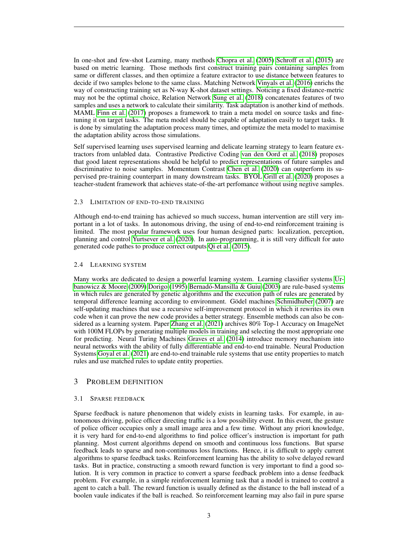In one-shot and few-shot Learning, many methods [Chopra et al.](#page-9-11) [\(2005\)](#page-9-11) [Schroff et al.](#page-10-3) [\(2015\)](#page-10-3) are based on metric learning. Those methods first construct training pairs containing samples from same or different classes, and then optimize a feature extractor to use distance between features to decide if two samples belone to the same class. Matching Network [Vinyals et al.](#page-11-3) [\(2016\)](#page-11-3) enrichs the way of constructing training set as N-way K-shot dataset settings. Noticing a fixed distance-metric may not be the optimal choice, Relation Network [Sung et al.](#page-10-11) [\(2018\)](#page-10-11) concatenates features of two samples and uses a network to calculate their similarity. Task adaptation is another kind of methods. MAML [Finn et al.](#page-9-12) [\(2017\)](#page-9-12) proposes a framework to train a meta model on source tasks and finetuning it on target tasks. The meta model should be capable of adaptation easily to target tasks. It is done by simulating the adaptation process many times, and optimize the meta model to maximise the adaptation ability across those simulations.

Self supervised learning uses supervised learning and delicate learning strategy to learn feature extractors from unlabled data. Contrastive Predictive Coding [van den Oord et al.](#page-11-4) [\(2018\)](#page-11-4) proposes that good latent representations should be helpful to predict representations of future samples and discriminative to noise samples. Momentum Contrast [Chen et al.](#page-9-13) [\(2020\)](#page-9-13) can outperform its supervised pre-training counterpart in many downstream tasks. BYOL [Grill et al.](#page-9-14) [\(2020\)](#page-9-14) proposes a teacher-student framework that achieves state-of-the-art perfomance without using negtive samples.

#### 2.3 LIMITATION OF END-TO-END TRAINING

Although end-to-end training has achieved so much success, human intervention are still very important in a lot of tasks. In autonomous driving, the using of end-to-end reinforcement training is limited. The most popular framework uses four human designed parts: localization, perception, planning and control [Yurtsever et al.](#page-11-5) [\(2020\)](#page-11-5). In auto-programming, it is still very difficult for auto generated code pathes to produce correct outputs [Qi et al.](#page-10-12) [\(2015\)](#page-10-12).

#### 2.4 LEARNING SYSTEM

Many works are dedicated to design a powerful learning system. Learning classifier systems [Ur](#page-11-6)[banowicz & Moore](#page-11-6) [\(2009\)](#page-11-6) [Dorigo](#page-9-15) [\(1995\)](#page-9-15) Bernadó-Mansilla & Guiu [\(2003\)](#page-9-16) are rule-based systems in which rules are generated by genetic algorithms and the execution path of rules are generated by temporal difference learning according to environment. Gödel machines [Schmidhuber](#page-10-13) [\(2007\)](#page-10-13) are self-updating machines that use a recursive self-improvement protocol in which it rewrites its own code when it can prove the new code provides a better strategy. Ensemble methods can also be considered as a learning system. Paper [Zhang et al.](#page-11-7) [\(2021\)](#page-11-7) archives 80% Top-1 Accuracy on ImageNet with 100M FLOPs by generating multiple models in training and selecting the most appropriate one for predicting. Neural Turing Machines [Graves et al.](#page-9-17) [\(2014\)](#page-9-17) introduce memory mechanism into neural networks with the ability of fully differentiable and end-to-end trainable. Neural Production Systems [Goyal et al.](#page-9-18) [\(2021\)](#page-9-18) are end-to-end trainable rule systems that use entity properties to match rules and use matched rules to update entity properties.

# 3 PROBLEM DEFINITION

#### 3.1 SPARSE FEEDBACK

Sparse feedback is nature phenomenon that widely exists in learning tasks. For example, in autonomous driving, police officer directing traffic is a low possibility event. In this event, the gesture of police officer occupies only a small image area and a few time. Without any priori knowledge, it is very hard for end-to-end algorithms to find police officer's instruction is important for path planning. Most current algorithms depend on smooth and continuous loss functions. But sparse feedback leads to sparse and non-continuous loss functions. Hence, it is difficult to apply current algorithms to sparse feedback tasks. Reinforcement learning has the ability to solve delayed reward tasks. But in practice, constructing a smooth reward function is very important to find a good solution. It is very common in practice to convert a sparse feedback problem into a dense feedback problem. For example, in a simple reinforcement learning task that a model is trained to control a agent to catch a ball. The reward function is usually defined as the distance to the ball instead of a boolen vaule indicates if the ball is reached. So reinforcement learning may also fail in pure sparse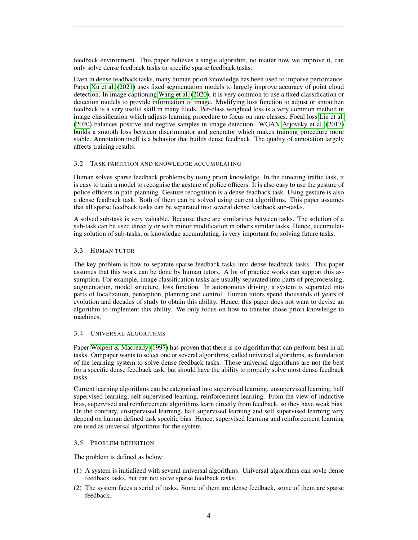feedback environment. This paper believes a single algorithm, no matter how we improve it, can only solve dense feedback tasks or specific sparse feedback tasks.

Even in dense feadback tasks, many human priori knowledge has been used to imporve perfomance. Paper [Xu et al.](#page-11-8) [\(2021\)](#page-11-8) uses fixed segmentation models to largely improve accuracy of point cloud detection. In image captioning [Wang et al.](#page-11-9) [\(2020\)](#page-11-9), it is very common to use a fixed classification or detection models to provide information of image. Modifying loss function to adjust or smoothen feedback is a very useful skill in many fileds. Per-class weighted loss is a very common method in image classification which adjusts learning procedure to focus on rare classes. Focal loss [Lin et al.](#page-9-3) [\(2020\)](#page-9-3) balances positive and negtive samples in image detection. WGAN [Arjovsky et al.](#page-9-6) [\(2017\)](#page-9-6) builds a smooth loss between discriminator and generator which makes training procedure more stable. Annotation itself is a behavior that builds dense feedback. The quality of annotation largely affects training results.

#### 3.2 TASK PARTITION AND KNOWLEDGE ACCUMULATING

Human solves sparse feedback problems by using priori knowledge. In the directing traffic task, it is easy to train a model to recognise the gesture of police officers. It is also easy to use the gesture of police officers in path planning. Gesture recognition is a dense feadback task. Using gesture is also a dense feadback task. Both of them can be solved using current algorithms. This paper assumes that all sparse feedback tasks can be separated into several dense feadback sub-tasks.

A solved sub-task is very valuable. Because there are similarities between tasks. The solution of a sub-task can be used directly or with minor modification in others similar tasks. Hence, accumulating solution of sub-tasks, or knowledge accumulating, is very important for solving future tasks.

#### 3.3 HUMAN TUTOR

The key problem is how to separate sparse feedback tasks into dense feadback tasks. This paper assumes that this work can be done by human tutors. A lot of practice works can support this assumption. For example, image classification tasks are usually separated into parts of preprocessing, augmentation, model structure, loss function. In autonomous driving, a system is separated into parts of localization, perception, planning and control. Human tutors spend thousands of years of evolution and decades of study to obtain this ability. Hence, this paper does not want to devise an algorithm to implement this ability. We only focus on how to transfer those priori knowledge to machines.

#### 3.4 UNIVERSAL ALGORITHMS

Paper [Wolpert & Macready](#page-11-10) [\(1997\)](#page-11-10) has proven that there is no algorithm that can perform best in all tasks. Our paper wants to select one or several algorithms, called universal algorithms, as foundation of the learning system to solve dense feedback tasks. Those universal algorithms are not the best for a specific dense feedback task, but should have the ability to properly solve most dense feedback tasks.

Current learning algorithms can be categorised into supervised learning, unsupervised learning, half supervised learning, self supervised learning, reinforcement learning. From the view of inductive bias, supervised and reinforcement algorithms learn directly from feedback, so they have weak bias. On the contrary, unsupervised learning, half supervised learning and self supervised learning very depend on human defined task specific bias. Hence, supervised learning and reinforcement learning are used as universal algorithms for the system.

#### 3.5 PROBLEM DEFINITION

The problem is defined as below:

- (1) A system is initialized with several universal algorithms. Universal algorithms can sovle dense feedback tasks, but can not solve sparse feedback tasks.
- (2) The system faces a serial of tasks. Some of them are dense feedback, some of them are sparse feedback.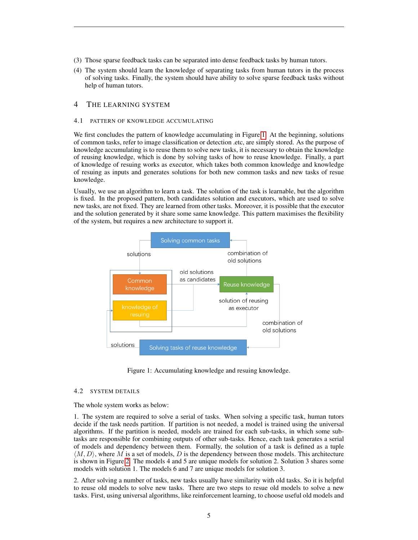- (3) Those sparse feedback tasks can be separated into dense feedback tasks by human tutors.
- (4) The system should learn the knowledge of separating tasks from human tutors in the process of solving tasks. Finally, the system should have ability to solve sparse feedback tasks without help of human tutors.

# 4 THE LEARNING SYSTEM

#### 4.1 PATTERN OF KNOWLEDGE ACCUMULATING

We first concludes the pattern of knowledge accumulating in Figure[.1.](#page-4-0) At the beginning, solutions of common tasks, refer to image classification or detection .etc, are simply stored. As the purpose of knowledge accumulating is to reuse them to solve new tasks, it is necessary to obtain the knowledge of reusing knowledge, which is done by solving tasks of how to reuse knowledge. Finally, a part of knowledge of resuing works as executor, which takes both common knowledge and knowledge of resuing as inputs and generates solutions for both new common tasks and new tasks of resue knowledge.

Usually, we use an algorithm to learn a task. The solution of the task is learnable, but the algorithm is fixed. In the proposed pattern, both candidates solution and executors, which are used to solve new tasks, are not fixed. They are learned from other tasks. Moreover, it is possible that the executor and the solution generated by it share some same knowledge. This pattern maximises the flexibility of the system, but requires a new architecture to support it.



<span id="page-4-0"></span>Figure 1: Accumulating knowledge and resuing knowledge.

#### 4.2 SYSTEM DETAILS

The whole system works as below:

1. The system are required to solve a serial of tasks. When solving a specific task, human tutors decide if the task needs partition. If partition is not needed, a model is trained using the universal algorithms. If the partition is needed, models are trained for each sub-tasks, in which some subtasks are responsible for combining outputs of other sub-tasks. Hence, each task generates a serial of models and dependency between them. Formally, the solution of a task is defined as a tuple  $\langle M, D \rangle$ , where M is a set of models, D is the dependency between those models. This architecture is shown in Figure[.2.](#page-5-0) The models 4 and 5 are unique models for solution 2. Solution 3 shares some models with solution 1. The models 6 and 7 are unique models for solution 3.

2. After solving a number of tasks, new tasks usually have similarity with old tasks. So it is helpful to reuse old models to solve new tasks. There are two steps to resue old models to solve a new tasks. First, using universal algorithms, like reinforcement learning, to choose useful old models and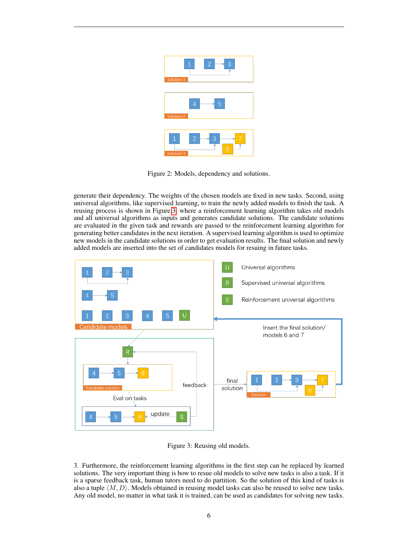

Figure 2: Models, dependency and solutions.

<span id="page-5-0"></span>generate their dependency. The weights of the chosen models are fixed in new tasks. Second, using universal algorithms, like supervised learning, to train the newly added models to finish the task. A reusing process is shown in Figure[.3,](#page-5-1) where a reinforcement learning algorithm takes old models and all universal algorithms as inputs and generates candidate solutions. The candidate solutions are evaluated in the given task and rewards are passed to the reinforcement learning algorithm for generating better candidates in the next iteration. A supervised learning algorithm is used to optimize new models in the candidate solutions in order to get evaluation results. The final solution and newly added models are inserted into the set of candidates models for resuing in future tasks.



<span id="page-5-1"></span>Figure 3: Reusing old models.

3. Furthermore, the reinforcement learning algorithms in the first step can be replaced by learned solutions. The very important thing is how to resue old models to solve new tasks is also a task. If it is a sparse feedback task, human tutors need to do partition. So the solution of this kind of tasks is also a tuple  $\langle M, D \rangle$ . Models obtained in reusing model tasks can also be reused to solve new tasks. Any old model, no matter in what task it is trained, can be used as candidates for solving new tasks.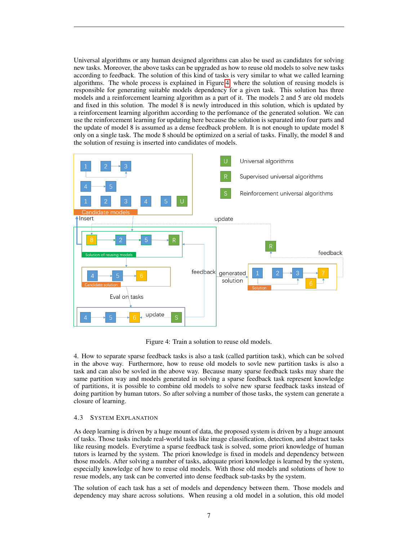Universal algorithms or any human designed algorithms can also be used as candidates for solving new tasks. Moreover, the above tasks can be upgraded as how to reuse old models to solve new tasks according to feedback. The solution of this kind of tasks is very similar to what we called learning algorithms. The whole process is explained in Figure[.4,](#page-6-0) where the solution of reusing models is responsible for generating suitable models dependency for a given task. This solution has three models and a reinforcement learning algorithm as a part of it. The models 2 and 5 are old models and fixed in this solution. The model 8 is newly introduced in this solution, which is updated by a reinforcement learning algorithm according to the perfomance of the generated solution. We can use the reinforcement learning for updating here because the solution is separated into four parts and the update of model 8 is assumed as a dense feedback problem. It is not enough to update model 8 only on a single task. The mode 8 should be optimized on a serial of tasks. Finally, the model 8 and the solution of resuing is inserted into candidates of models.



<span id="page-6-0"></span>Figure 4: Train a solution to reuse old models.

4. How to separate sparse feedback tasks is also a task (called partition task), which can be solved in the above way. Furthermore, how to reuse old models to sovle new partition tasks is also a task and can also be sovled in the above way. Because many sparse feedback tasks may share the same partition way and models generated in solving a sparse feedback task represent knowledge of partitions, it is possible to combine old models to solve new sparse feedback tasks instead of doing partition by human tutors. So after solving a number of those tasks, the system can generate a closure of learning.

# 4.3 SYSTEM EXPLANATION

As deep learning is driven by a huge mount of data, the proposed system is driven by a huge amount of tasks. Those tasks include real-world tasks like image classification, detection, and abstract tasks like reusing models. Everytime a sparse feedback task is solved, some priori knowledge of human tutors is learned by the system. The priori knowledge is fixed in models and dependency between those models. After solving a number of tasks, adequate priori knowledge is learned by the system, especially knowledge of how to reuse old models. With those old models and solutions of how to resue models, any task can be converted into dense feedback sub-tasks by the system.

The solution of each task has a set of models and dependency between them. Those models and dependency may share across solutions. When reusing a old model in a solution, this old model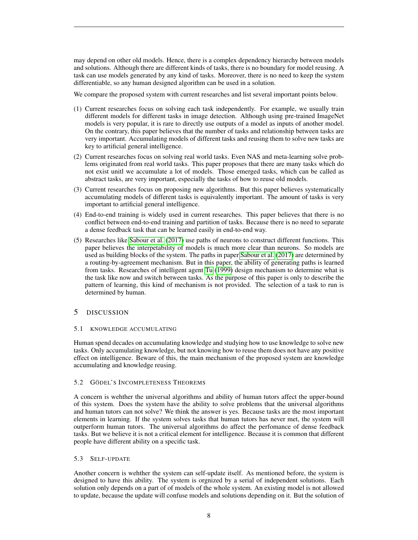may depend on other old models. Hence, there is a complex dependency hierarchy between models and solutions. Although there are different kinds of tasks, there is no boundary for model reusing. A task can use models generated by any kind of tasks. Moreover, there is no need to keep the system differentiable, so any human designed algorithm can be used in a solution.

We compare the proposed system with current researches and list several important points below.

- (1) Current researches focus on solving each task independently. For example, we usually train different models for different tasks in image detection. Although using pre-trained ImageNet models is very popular, it is rare to directly use outputs of a model as inputs of another model. On the contrary, this paper believes that the number of tasks and relationship between tasks are very important. Accumulating models of different tasks and reusing them to solve new tasks are key to artificial general intelligence.
- (2) Current researches focus on solving real world tasks. Even NAS and meta-learning solve problems originated from real world tasks. This paper proposes that there are many tasks which do not exist unitl we accumulate a lot of models. Those emerged tasks, which can be called as abstract tasks, are very important, especially the tasks of how to reuse old models.
- (3) Current researches focus on proposing new algorithms. But this paper believes systematically accumulating models of different tasks is equivalently important. The amount of tasks is very important to artificial general intelligence.
- (4) End-to-end training is widely used in current researches. This paper believes that there is no conflict between end-to-end training and partition of tasks. Because there is no need to separate a dense feedback task that can be learned easily in end-to-end way.
- (5) Researches like [Sabour et al.](#page-10-14) [\(2017\)](#page-10-14) use paths of neurons to construct different functions. This paper believes the interpetability of models is much more clear than neurons. So models are used as building blocks of the system. The paths in paper [Sabour et al.](#page-10-14) [\(2017\)](#page-10-14) are determined by a routing-by-agreement mechanism. But in this paper, the ability of generating paths is learned from tasks. Researches of intelligent agent [Tu](#page-10-15) [\(1999\)](#page-10-15) design mechanism to determine what is the task like now and switch between tasks. As the purpose of this paper is only to describe the pattern of learning, this kind of mechanism is not provided. The selection of a task to run is determined by human.

# 5 DISCUSSION

# 5.1 KNOWLEDGE ACCUMULATING

Human spend decades on accumulating knowledge and studying how to use knowledge to solve new tasks. Only accumulating knowledge, but not knowing how to reuse them does not have any positive effect on intelligence. Beware of this, the main mechanism of the proposed system are knowledge accumulating and knowledge reusing.

# 5.2 GÖDEL'S INCOMPLETENESS THEOREMS

A concern is wehther the universal algorithms and ability of human tutors affect the upper-bound of this system. Does the system have the ability to solve problems that the universal algorithms and human tutors can not solve? We think the answer is yes. Because tasks are the most important elements in learning. If the system solves tasks that human tutors has never met, the system will outperform human tutors. The universal algorithms do affect the perfomance of dense feedback tasks. But we believe it is not a critical element for intelligence. Because it is common that different people have different ability on a specific task.

# 5.3 SELF-UPDATE

Another concern is wehther the system can self-update itself. As mentioned before, the system is designed to have this ability. The system is orgnized by a serial of independent solutions. Each solution only depends on a part of of models of the whole system. An existing model is not allowed to update, because the update will confuse models and solutions depending on it. But the solution of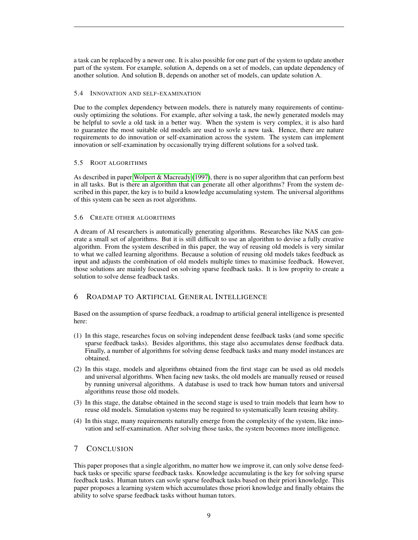a task can be replaced by a newer one. It is also possible for one part of the system to update another part of the system. For example, solution A, depends on a set of models, can update dependency of another solution. And solution B, depends on another set of models, can update solution A.

#### 5.4 INNOVATION AND SELF-EXAMINATION

Due to the complex dependency between models, there is naturely many requirements of continuously optimizing the solutions. For example, after solving a task, the newly generated models may be helpful to sovle a old task in a better way. When the system is very complex, it is also hard to guarantee the most suitable old models are used to sovle a new task. Hence, there are nature requirements to do innovation or self-examination across the system. The system can implement innovation or self-examination by occasionally trying different solutions for a solved task.

# 5.5 ROOT ALGORITHMS

As described in paper [Wolpert & Macready](#page-11-10) [\(1997\)](#page-11-10), there is no super algorithm that can perform best in all tasks. But is there an algorithm that can generate all other algorithms? From the system described in this paper, the key is to build a knowledge accumulating system. The universal algorithms of this system can be seen as root algorithms.

# 5.6 CREATE OTHER ALGORITHMS

A dream of AI researchers is automatically generating algorithms. Researches like NAS can generate a small set of algorithms. But it is still difficult to use an algorithm to devise a fully creative algorithm. From the system described in this paper, the way of reusing old models is very similar to what we called learning algorithms. Because a solution of reusing old models takes feedback as input and adjusts the combination of old models multiple times to maximise feedback. However, those solutions are mainly focused on solving sparse feedback tasks. It is low proprity to create a solution to solve dense feadback tasks.

# 6 ROADMAP TO ARTIFICIAL GENERAL INTELLIGENCE

Based on the assumption of sparse feedback, a roadmap to artificial general intelligence is presented here:

- (1) In this stage, researches focus on solving independent dense feedback tasks (and some specific sparse feedback tasks). Besides algorithms, this stage also accumulates dense feedback data. Finally, a number of algorithms for solving dense feedback tasks and many model instances are obtained.
- (2) In this stage, models and algorithms obtained from the first stage can be used as old models and universal algorithms. When facing new tasks, the old models are manually reused or reused by running universal algorithms. A database is used to track how human tutors and universal algorithms reuse those old models.
- (3) In this stage, the databse obtained in the second stage is used to train models that learn how to reuse old models. Simulation systems may be required to systematically learn reusing ability.
- (4) In this stage, many requirements naturally emerge from the complexity of the system, like innovation and self-examination. After solving those tasks, the system becomes more intelligence.

# 7 CONCLUSION

This paper proposes that a single algorithm, no matter how we improve it, can only solve dense feedback tasks or specific sparse feedback tasks. Knowledge accumulating is the key for solving sparse feedback tasks. Human tutors can sovle sparse feedback tasks based on their priori knowledge. This paper proposes a learning system which accumulates those priori knowledge and finally obtains the ability to solve sparse feedback tasks without human tutors.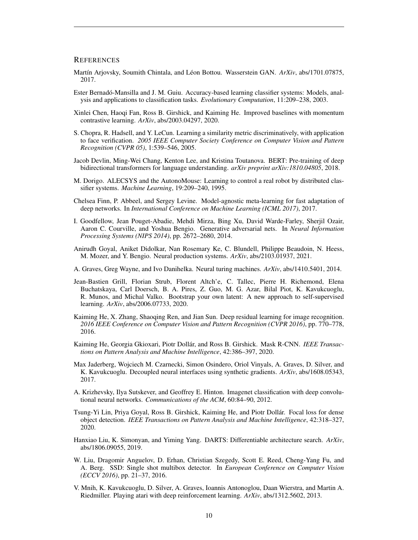#### **REFERENCES**

- <span id="page-9-6"></span>Martín Arjovsky, Soumith Chintala, and Léon Bottou. Wasserstein GAN. ArXiv, abs/1701.07875, 2017.
- <span id="page-9-16"></span>Ester Bernadó-Mansilla and J. M. Guiu. Accuracy-based learning classifier systems: Models, analysis and applications to classification tasks. *Evolutionary Computation*, 11:209–238, 2003.
- <span id="page-9-13"></span>Xinlei Chen, Haoqi Fan, Ross B. Girshick, and Kaiming He. Improved baselines with momentum contrastive learning. *ArXiv*, abs/2003.04297, 2020.
- <span id="page-9-11"></span>S. Chopra, R. Hadsell, and Y. LeCun. Learning a similarity metric discriminatively, with application to face verification. *2005 IEEE Computer Society Conference on Computer Vision and Pattern Recognition (CVPR 05)*, 1:539–546, 2005.
- <span id="page-9-7"></span>Jacob Devlin, Ming-Wei Chang, Kenton Lee, and Kristina Toutanova. BERT: Pre-training of deep bidirectional transformers for language understanding. *arXiv preprint arXiv:1810.04805*, 2018.
- <span id="page-9-15"></span>M. Dorigo. ALECSYS and the AutonoMouse: Learning to control a real robot by distributed classifier systems. *Machine Learning*, 19:209–240, 1995.
- <span id="page-9-12"></span>Chelsea Finn, P. Abbeel, and Sergey Levine. Model-agnostic meta-learning for fast adaptation of deep networks. In *International Conference on Machine Learning (ICML 2017)*, 2017.
- <span id="page-9-5"></span>I. Goodfellow, Jean Pouget-Abadie, Mehdi Mirza, Bing Xu, David Warde-Farley, Sherjil Ozair, Aaron C. Courville, and Yoshua Bengio. Generative adversarial nets. In *Neural Information Processing Systems (NIPS 2014)*, pp. 2672–2680, 2014.
- <span id="page-9-18"></span>Anirudh Goyal, Aniket Didolkar, Nan Rosemary Ke, C. Blundell, Philippe Beaudoin, N. Heess, M. Mozer, and Y. Bengio. Neural production systems. *ArXiv*, abs/2103.01937, 2021.
- <span id="page-9-17"></span>A. Graves, Greg Wayne, and Ivo Danihelka. Neural turing machines. *ArXiv*, abs/1410.5401, 2014.
- <span id="page-9-14"></span>Jean-Bastien Grill, Florian Strub, Florent Altch'e, C. Tallec, Pierre H. Richemond, Elena Buchatskaya, Carl Doersch, B. A. Pires, Z. Guo, M. G. Azar, Bilal Piot, K. Kavukcuoglu, R. Munos, and Michal Valko. Bootstrap your own latent: A new approach to self-supervised learning. *ArXiv*, abs/2006.07733, 2020.
- <span id="page-9-1"></span>Kaiming He, X. Zhang, Shaoqing Ren, and Jian Sun. Deep residual learning for image recognition. *2016 IEEE Conference on Computer Vision and Pattern Recognition (CVPR 2016)*, pp. 770–778, 2016.
- <span id="page-9-4"></span>Kaiming He, Georgia Gkioxari, Piotr Dollár, and Ross B. Girshick. Mask R-CNN. IEEE Transac*tions on Pattern Analysis and Machine Intelligence*, 42:386–397, 2020.
- <span id="page-9-9"></span>Max Jaderberg, Wojciech M. Czarnecki, Simon Osindero, Oriol Vinyals, A. Graves, D. Silver, and K. Kavukcuoglu. Decoupled neural interfaces using synthetic gradients. *ArXiv*, abs/1608.05343, 2017.
- <span id="page-9-0"></span>A. Krizhevsky, Ilya Sutskever, and Geoffrey E. Hinton. Imagenet classification with deep convolutional neural networks. *Communications of the ACM*, 60:84–90, 2012.
- <span id="page-9-3"></span>Tsung-Yi Lin, Priya Goyal, Ross B. Girshick, Kaiming He, and Piotr Dollar. Focal loss for dense ´ object detection. *IEEE Transactions on Pattern Analysis and Machine Intelligence*, 42:318–327, 2020.
- <span id="page-9-10"></span>Hanxiao Liu, K. Simonyan, and Yiming Yang. DARTS: Differentiable architecture search. *ArXiv*, abs/1806.09055, 2019.
- <span id="page-9-2"></span>W. Liu, Dragomir Anguelov, D. Erhan, Christian Szegedy, Scott E. Reed, Cheng-Yang Fu, and A. Berg. SSD: Single shot multibox detector. In *European Conference on Computer Vision (ECCV 2016)*, pp. 21–37, 2016.
- <span id="page-9-8"></span>V. Mnih, K. Kavukcuoglu, D. Silver, A. Graves, Ioannis Antonoglou, Daan Wierstra, and Martin A. Riedmiller. Playing atari with deep reinforcement learning. *ArXiv*, abs/1312.5602, 2013.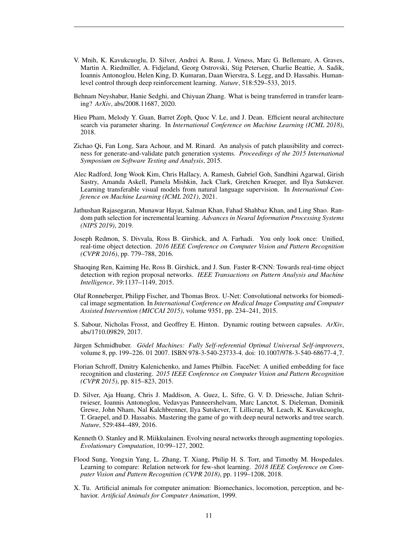- <span id="page-10-5"></span>V. Mnih, K. Kavukcuoglu, D. Silver, Andrei A. Rusu, J. Veness, Marc G. Bellemare, A. Graves, Martin A. Riedmiller, A. Fidjeland, Georg Ostrovski, Stig Petersen, Charlie Beattie, A. Sadik, Ioannis Antonoglou, Helen King, D. Kumaran, Daan Wierstra, S. Legg, and D. Hassabis. Humanlevel control through deep reinforcement learning. *Nature*, 518:529–533, 2015.
- <span id="page-10-6"></span>Behnam Neyshabur, Hanie Sedghi, and Chiyuan Zhang. What is being transferred in transfer learning? *ArXiv*, abs/2008.11687, 2020.
- <span id="page-10-10"></span>Hieu Pham, Melody Y. Guan, Barret Zoph, Quoc V. Le, and J. Dean. Efficient neural architecture search via parameter sharing. In *International Conference on Machine Learning (ICML 2018)*, 2018.
- <span id="page-10-12"></span>Zichao Qi, Fan Long, Sara Achour, and M. Rinard. An analysis of patch plausibility and correctness for generate-and-validate patch generation systems. *Proceedings of the 2015 International Symposium on Software Testing and Analysis*, 2015.
- <span id="page-10-7"></span>Alec Radford, Jong Wook Kim, Chris Hallacy, A. Ramesh, Gabriel Goh, Sandhini Agarwal, Girish Sastry, Amanda Askell, Pamela Mishkin, Jack Clark, Gretchen Krueger, and Ilya Sutskever. Learning transferable visual models from natural language supervision. In *International Conference on Machine Learning (ICML 2021)*, 2021.
- <span id="page-10-8"></span>Jathushan Rajasegaran, Munawar Hayat, Salman Khan, Fahad Shahbaz Khan, and Ling Shao. Random path selection for incremental learning. *Advances in Neural Information Processing Systems (NIPS 2019)*, 2019.
- <span id="page-10-0"></span>Joseph Redmon, S. Divvala, Ross B. Girshick, and A. Farhadi. You only look once: Unified, real-time object detection. *2016 IEEE Conference on Computer Vision and Pattern Recognition (CVPR 2016)*, pp. 779–788, 2016.
- <span id="page-10-1"></span>Shaoqing Ren, Kaiming He, Ross B. Girshick, and J. Sun. Faster R-CNN: Towards real-time object detection with region proposal networks. *IEEE Transactions on Pattern Analysis and Machine Intelligence*, 39:1137–1149, 2015.
- <span id="page-10-2"></span>Olaf Ronneberger, Philipp Fischer, and Thomas Brox. U-Net: Convolutional networks for biomedical image segmentation. In *International Conference on Medical Image Computing and Computer Assisted Intervention (MICCAI 2015)*, volume 9351, pp. 234–241, 2015.
- <span id="page-10-14"></span>S. Sabour, Nicholas Frosst, and Geoffrey E. Hinton. Dynamic routing between capsules. *ArXiv*, abs/1710.09829, 2017.
- <span id="page-10-13"></span>Jürgen Schmidhuber. Gödel Machines: Fully Self-referential Optimal Universal Self-improvers, volume 8, pp. 199–226. 01 2007. ISBN 978-3-540-23733-4. doi: 10.1007/978-3-540-68677-4 7.
- <span id="page-10-3"></span>Florian Schroff, Dmitry Kalenichenko, and James Philbin. FaceNet: A unified embedding for face recognition and clustering. *2015 IEEE Conference on Computer Vision and Pattern Recognition (CVPR 2015)*, pp. 815–823, 2015.
- <span id="page-10-4"></span>D. Silver, Aja Huang, Chris J. Maddison, A. Guez, L. Sifre, G. V. D. Driessche, Julian Schrittwieser, Ioannis Antonoglou, Vedavyas Panneershelvam, Marc Lanctot, S. Dieleman, Dominik Grewe, John Nham, Nal Kalchbrenner, Ilya Sutskever, T. Lillicrap, M. Leach, K. Kavukcuoglu, T. Graepel, and D. Hassabis. Mastering the game of go with deep neural networks and tree search. *Nature*, 529:484–489, 2016.
- <span id="page-10-9"></span>Kenneth O. Stanley and R. Miikkulainen. Evolving neural networks through augmenting topologies. *Evolutionary Computation*, 10:99–127, 2002.
- <span id="page-10-11"></span>Flood Sung, Yongxin Yang, L. Zhang, T. Xiang, Philip H. S. Torr, and Timothy M. Hospedales. Learning to compare: Relation network for few-shot learning. *2018 IEEE Conference on Computer Vision and Pattern Recognition (CVPR 2018)*, pp. 1199–1208, 2018.
- <span id="page-10-15"></span>X. Tu. Artificial animals for computer animation: Biomechanics, locomotion, perception, and behavior. *Artificial Animals for Computer Animation*, 1999.